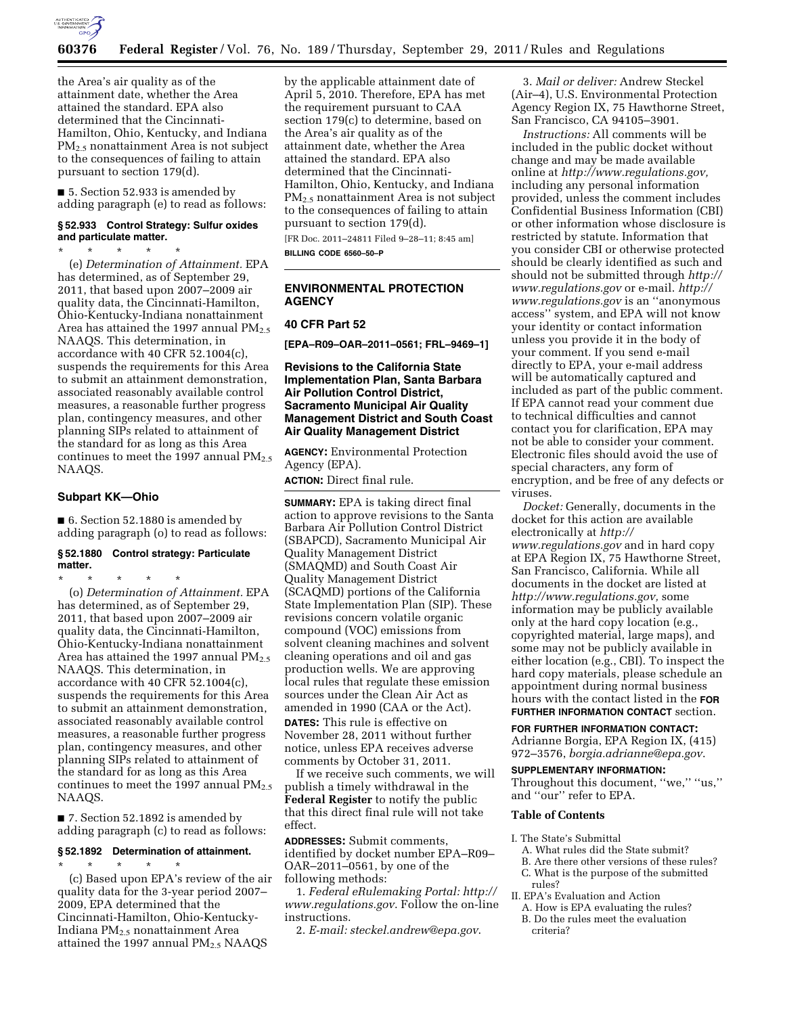

the Area's air quality as of the attainment date, whether the Area attained the standard. EPA also determined that the Cincinnati-Hamilton, Ohio, Kentucky, and Indiana PM2.5 nonattainment Area is not subject to the consequences of failing to attain pursuant to section 179(d).

■ 5. Section 52.933 is amended by adding paragraph (e) to read as follows:

### **§ 52.933 Control Strategy: Sulfur oxides and particulate matter.**

\* \* \* \* \*

(e) *Determination of Attainment.* EPA has determined, as of September 29, 2011, that based upon 2007–2009 air quality data, the Cincinnati-Hamilton, Ohio-Kentucky-Indiana nonattainment Area has attained the 1997 annual PM<sub>2.5</sub> NAAQS. This determination, in accordance with 40 CFR 52.1004(c), suspends the requirements for this Area to submit an attainment demonstration, associated reasonably available control measures, a reasonable further progress plan, contingency measures, and other planning SIPs related to attainment of the standard for as long as this Area continues to meet the 1997 annual  $PM_{2.5}$ NAAQS.

#### **Subpart KK—Ohio**

■ 6. Section 52.1880 is amended by adding paragraph (o) to read as follows:

#### **§ 52.1880 Control strategy: Particulate matter.**

\* \* \* \* \* (o) *Determination of Attainment.* EPA has determined, as of September 29, 2011, that based upon 2007–2009 air quality data, the Cincinnati-Hamilton, Ohio-Kentucky-Indiana nonattainment Area has attained the 1997 annual  $PM_{2.5}$ NAAQS. This determination, in accordance with 40 CFR 52.1004(c), suspends the requirements for this Area to submit an attainment demonstration, associated reasonably available control measures, a reasonable further progress plan, contingency measures, and other planning SIPs related to attainment of the standard for as long as this Area continues to meet the 1997 annual  $PM_{2.5}$ NAAQS.

■ 7. Section 52.1892 is amended by adding paragraph (c) to read as follows:

### **§ 52.1892 Determination of attainment.**

\* \* \* \* \* (c) Based upon EPA's review of the air quality data for the 3-year period 2007– 2009, EPA determined that the Cincinnati-Hamilton, Ohio-Kentucky-Indiana PM2.5 nonattainment Area attained the 1997 annual PM<sub>2.5</sub> NAAQS

by the applicable attainment date of April 5, 2010. Therefore, EPA has met the requirement pursuant to CAA section 179(c) to determine, based on the Area's air quality as of the attainment date, whether the Area attained the standard. EPA also determined that the Cincinnati-Hamilton, Ohio, Kentucky, and Indiana PM2.5 nonattainment Area is not subject to the consequences of failing to attain pursuant to section 179(d).

[FR Doc. 2011–24811 Filed 9–28–11; 8:45 am] **BILLING CODE 6560–50–P** 

# **ENVIRONMENTAL PROTECTION AGENCY**

## **40 CFR Part 52**

**[EPA–R09–OAR–2011–0561; FRL–9469–1]** 

# **Revisions to the California State Implementation Plan, Santa Barbara Air Pollution Control District, Sacramento Municipal Air Quality Management District and South Coast Air Quality Management District**

**AGENCY:** Environmental Protection Agency (EPA).

**ACTION:** Direct final rule.

**SUMMARY:** EPA is taking direct final action to approve revisions to the Santa Barbara Air Pollution Control District (SBAPCD), Sacramento Municipal Air Quality Management District (SMAQMD) and South Coast Air Quality Management District (SCAQMD) portions of the California State Implementation Plan (SIP). These revisions concern volatile organic compound (VOC) emissions from solvent cleaning machines and solvent cleaning operations and oil and gas production wells. We are approving local rules that regulate these emission sources under the Clean Air Act as amended in 1990 (CAA or the Act).

**DATES:** This rule is effective on November 28, 2011 without further notice, unless EPA receives adverse comments by October 31, 2011.

If we receive such comments, we will publish a timely withdrawal in the **Federal Register** to notify the public that this direct final rule will not take effect.

**ADDRESSES:** Submit comments, identified by docket number EPA–R09– OAR–2011–0561, by one of the following methods:

1. *Federal eRulemaking Portal: [http://](http://www.regulations.gov)  [www.regulations.gov](http://www.regulations.gov)*. Follow the on-line instructions.

2. *E-mail: [steckel.andrew@epa.gov](mailto:steckel.andrew@epa.gov)*.

3. *Mail or deliver:* Andrew Steckel (Air–4), U.S. Environmental Protection Agency Region IX, 75 Hawthorne Street, San Francisco, CA 94105–3901.

*Instructions:* All comments will be included in the public docket without change and may be made available online at *[http://www.regulations.gov,](http://www.regulations.gov)*  including any personal information provided, unless the comment includes Confidential Business Information (CBI) or other information whose disclosure is restricted by statute. Information that you consider CBI or otherwise protected should be clearly identified as such and should not be submitted through *[http://](http://www.regulations.gov) [www.regulations.gov](http://www.regulations.gov)* or e-mail. *[http://](http://www.regulations.gov)  [www.regulations.gov](http://www.regulations.gov)* is an ''anonymous access'' system, and EPA will not know your identity or contact information unless you provide it in the body of your comment. If you send e-mail directly to EPA, your e-mail address will be automatically captured and included as part of the public comment. If EPA cannot read your comment due to technical difficulties and cannot contact you for clarification, EPA may not be able to consider your comment. Electronic files should avoid the use of special characters, any form of encryption, and be free of any defects or viruses.

*Docket:* Generally, documents in the docket for this action are available electronically at *[http://](http://www.regulations.gov) [www.regulations.gov](http://www.regulations.gov)* and in hard copy at EPA Region IX, 75 Hawthorne Street, San Francisco, California. While all documents in the docket are listed at *[http://www.regulations.gov,](http://www.regulations.gov)* some information may be publicly available only at the hard copy location (e.g., copyrighted material, large maps), and some may not be publicly available in either location (e.g., CBI). To inspect the hard copy materials, please schedule an appointment during normal business hours with the contact listed in the **FOR FURTHER INFORMATION CONTACT** section.

**FOR FURTHER INFORMATION CONTACT:**  Adrianne Borgia, EPA Region IX, (415) 972–3576, *[borgia.adrianne@epa.gov](mailto:borgia.adrianne@epa.gov)*.

#### **SUPPLEMENTARY INFORMATION:**

Throughout this document, ''we,'' ''us,'' and ''our'' refer to EPA.

#### **Table of Contents**

- I. The State's Submittal
	- A. What rules did the State submit?
	- B. Are there other versions of these rules? C. What is the purpose of the submitted rules?

II. EPA's Evaluation and Action

- A. How is EPA evaluating the rules?
- B. Do the rules meet the evaluation criteria?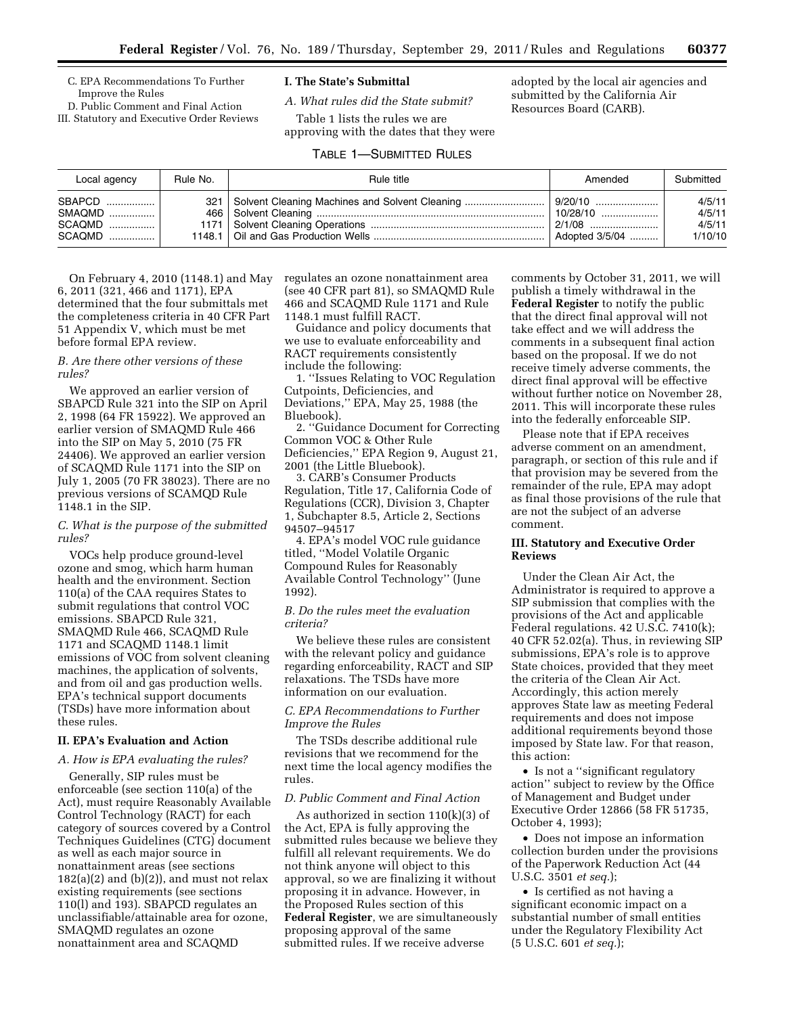C. EPA Recommendations To Further Improve the Rules

D. Public Comment and Final Action III. Statutory and Executive Order Reviews

# **I. The State's Submittal**

*A. What rules did the State submit?* 

Table 1 lists the rules we are approving with the dates that they were adopted by the local air agencies and submitted by the California Air Resources Board (CARB).

# TABLE 1—SUBMITTED RULES

| Local agency | Rule No. | Rule title                                         | Amended        | Submitted |
|--------------|----------|----------------------------------------------------|----------------|-----------|
| SBAPCD       |          | 321 Solvent Cleaning Machines and Solvent Cleaning |                | 4/5/11    |
| SMAQMD !     |          |                                                    | $10/28/10$     | 4/5/11    |
|              |          |                                                    | i 2/1/08       | 4/5/11    |
| SCAQMD !     |          |                                                    | Adopted 3/5/04 | 1/10/10   |

On February 4, 2010 (1148.1) and May 6, 2011 (321, 466 and 1171), EPA determined that the four submittals met the completeness criteria in 40 CFR Part 51 Appendix V, which must be met before formal EPA review.

### *B. Are there other versions of these rules?*

We approved an earlier version of SBAPCD Rule 321 into the SIP on April 2, 1998 (64 FR 15922). We approved an earlier version of SMAQMD Rule 466 into the SIP on May 5, 2010 (75 FR 24406). We approved an earlier version of SCAQMD Rule 1171 into the SIP on July 1, 2005 (70 FR 38023). There are no previous versions of SCAMQD Rule 1148.1 in the SIP.

## *C. What is the purpose of the submitted rules?*

VOCs help produce ground-level ozone and smog, which harm human health and the environment. Section 110(a) of the CAA requires States to submit regulations that control VOC emissions. SBAPCD Rule 321, SMAQMD Rule 466, SCAQMD Rule 1171 and SCAQMD 1148.1 limit emissions of VOC from solvent cleaning machines, the application of solvents, and from oil and gas production wells. EPA's technical support documents (TSDs) have more information about these rules.

# **II. EPA's Evaluation and Action**

# *A. How is EPA evaluating the rules?*

Generally, SIP rules must be enforceable (see section 110(a) of the Act), must require Reasonably Available Control Technology (RACT) for each category of sources covered by a Control Techniques Guidelines (CTG) document as well as each major source in nonattainment areas (see sections  $182(a)(2)$  and  $(b)(2)$ ), and must not relax existing requirements (see sections 110(l) and 193). SBAPCD regulates an unclassifiable/attainable area for ozone, SMAQMD regulates an ozone nonattainment area and SCAQMD

regulates an ozone nonattainment area (see 40 CFR part 81), so SMAQMD Rule 466 and SCAQMD Rule 1171 and Rule 1148.1 must fulfill RACT.

Guidance and policy documents that we use to evaluate enforceability and RACT requirements consistently include the following:

1. ''Issues Relating to VOC Regulation Cutpoints, Deficiencies, and Deviations,'' EPA, May 25, 1988 (the Bluebook).

2. ''Guidance Document for Correcting Common VOC & Other Rule

Deficiencies,'' EPA Region 9, August 21, 2001 (the Little Bluebook).

3. CARB's Consumer Products Regulation, Title 17, California Code of Regulations (CCR), Division 3, Chapter 1, Subchapter 8.5, Article 2, Sections 94507–94517

4. EPA's model VOC rule guidance titled, ''Model Volatile Organic Compound Rules for Reasonably Available Control Technology'' (June 1992).

### *B. Do the rules meet the evaluation criteria?*

We believe these rules are consistent with the relevant policy and guidance regarding enforceability, RACT and SIP relaxations. The TSDs have more information on our evaluation.

# *C. EPA Recommendations to Further Improve the Rules*

The TSDs describe additional rule revisions that we recommend for the next time the local agency modifies the rules.

#### *D. Public Comment and Final Action*

As authorized in section 110(k)(3) of the Act, EPA is fully approving the submitted rules because we believe they fulfill all relevant requirements. We do not think anyone will object to this approval, so we are finalizing it without proposing it in advance. However, in the Proposed Rules section of this **Federal Register**, we are simultaneously proposing approval of the same submitted rules. If we receive adverse

comments by October 31, 2011, we will publish a timely withdrawal in the **Federal Register** to notify the public that the direct final approval will not take effect and we will address the comments in a subsequent final action based on the proposal. If we do not receive timely adverse comments, the direct final approval will be effective without further notice on November 28, 2011. This will incorporate these rules into the federally enforceable SIP.

Please note that if EPA receives adverse comment on an amendment, paragraph, or section of this rule and if that provision may be severed from the remainder of the rule, EPA may adopt as final those provisions of the rule that are not the subject of an adverse comment.

### **III. Statutory and Executive Order Reviews**

Under the Clean Air Act, the Administrator is required to approve a SIP submission that complies with the provisions of the Act and applicable Federal regulations. 42 U.S.C. 7410(k); 40 CFR 52.02(a). Thus, in reviewing SIP submissions, EPA's role is to approve State choices, provided that they meet the criteria of the Clean Air Act. Accordingly, this action merely approves State law as meeting Federal requirements and does not impose additional requirements beyond those imposed by State law. For that reason, this action:

• Is not a ''significant regulatory action'' subject to review by the Office of Management and Budget under Executive Order 12866 (58 FR 51735, October 4, 1993);

• Does not impose an information collection burden under the provisions of the Paperwork Reduction Act (44 U.S.C. 3501 *et seq.*);

• Is certified as not having a significant economic impact on a substantial number of small entities under the Regulatory Flexibility Act (5 U.S.C. 601 *et seq.*);